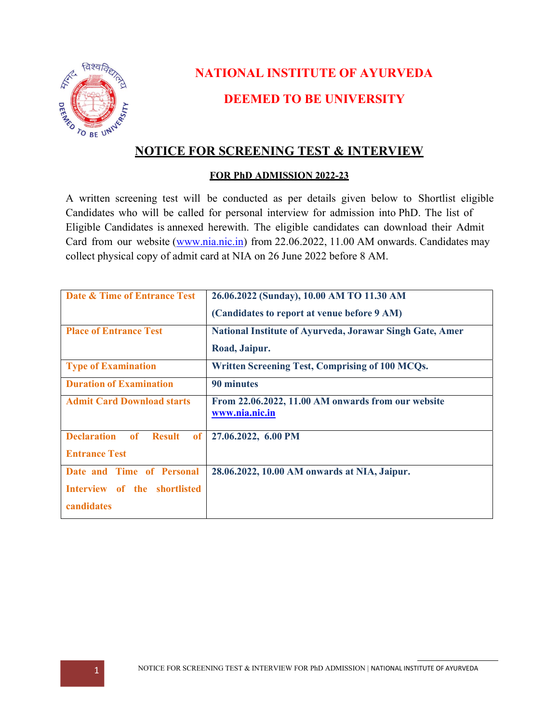

# NATIONAL INSTITUTE OF AYURVEDA DEEMED TO BE UNIVERSITY

# NOTICE FOR SCREENING TEST & INTERVIEW

#### FOR PhD ADMISSION 2022-23

A written screening test will be conducted as per details given below to Shortlist eligible Candidates who will be called for personal interview for admission into PhD. The list of Eligible Candidates is annexed herewith. The eligible candidates can download their Admit Card from our website (www.nia.nic.in) from 22.06.2022, 11.00 AM onwards. Candidates may collect physical copy of admit card at NIA on 26 June 2022 before 8 AM.

| Date & Time of Entrance Test                    | 26.06.2022 (Sunday), 10.00 AM TO 11.30 AM                       |  |  |
|-------------------------------------------------|-----------------------------------------------------------------|--|--|
|                                                 | (Candidates to report at venue before 9 AM)                     |  |  |
| <b>Place of Entrance Test</b>                   | <b>National Institute of Ayurveda, Jorawar Singh Gate, Amer</b> |  |  |
|                                                 | Road, Jaipur.                                                   |  |  |
| <b>Type of Examination</b>                      | Written Screening Test, Comprising of 100 MCQs.                 |  |  |
| <b>Duration of Examination</b>                  | 90 minutes                                                      |  |  |
| <b>Admit Card Download starts</b>               | From 22.06.2022, 11.00 AM onwards from our website              |  |  |
|                                                 | www.nia.nic.in                                                  |  |  |
| <b>Declaration</b><br>of<br><b>Result</b><br>of | 27.06.2022, 6.00 PM                                             |  |  |
| <b>Entrance Test</b>                            |                                                                 |  |  |
| Date and Time of Personal                       | 28.06.2022, 10.00 AM onwards at NIA, Jaipur.                    |  |  |
| Interview of the shortlisted                    |                                                                 |  |  |
| candidates                                      |                                                                 |  |  |